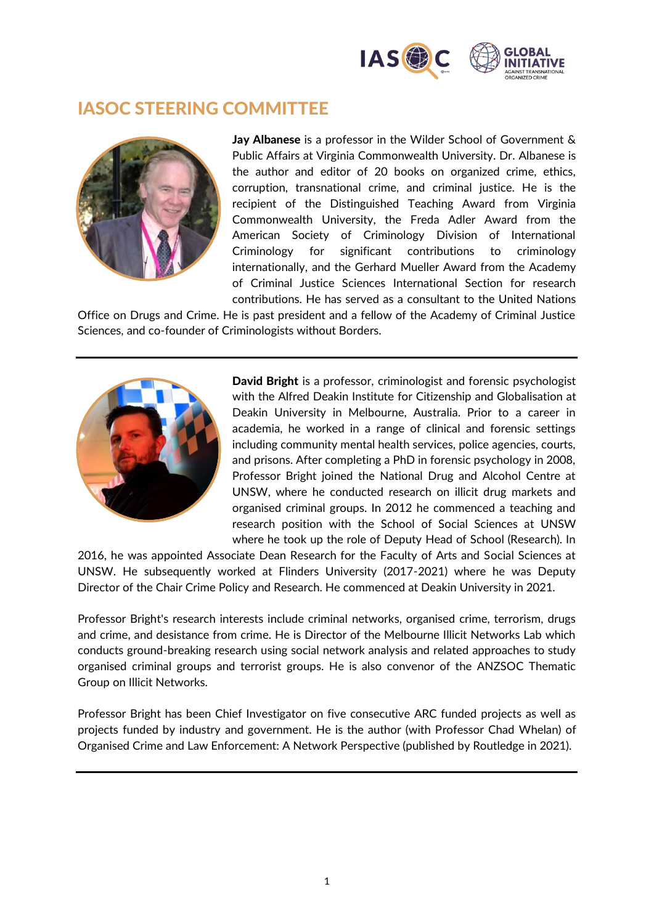

## IASOC STEERING COMMITTEE



Jay Albanese is a professor in the Wilder School of Government & Public Affairs at Virginia Commonwealth University. Dr. Albanese is the author and editor of 20 books on organized crime, ethics, corruption, transnational crime, and criminal justice. He is the recipient of the Distinguished Teaching Award from Virginia Commonwealth University, the Freda Adler Award from the American Society of Criminology Division of International Criminology for significant contributions to criminology internationally, and the Gerhard Mueller Award from the Academy of Criminal Justice Sciences International Section for research contributions. He has served as a consultant to the United Nations

Office on Drugs and Crime. He is past president and a fellow of the Academy of Criminal Justice Sciences, and co-founder of Criminologists without Borders.



David Bright is a professor, criminologist and forensic psychologist with the Alfred Deakin Institute for Citizenship and Globalisation at Deakin University in Melbourne, Australia. Prior to a career in academia, he worked in a range of clinical and forensic settings including community mental health services, police agencies, courts, and prisons. After completing a PhD in forensic psychology in 2008, Professor Bright joined the National Drug and Alcohol Centre at UNSW, where he conducted research on illicit drug markets and organised criminal groups. In 2012 he commenced a teaching and research position with the School of Social Sciences at UNSW where he took up the role of Deputy Head of School (Research). In

2016, he was appointed Associate Dean Research for the Faculty of Arts and Social Sciences at UNSW. He subsequently worked at Flinders University (2017-2021) where he was Deputy Director of the Chair Crime Policy and Research. He commenced at Deakin University in 2021.

Professor Bright's research interests include criminal networks, organised crime, terrorism, drugs and crime, and desistance from crime. He is Director of the Melbourne Illicit Networks Lab which conducts ground-breaking research using social network analysis and related approaches to study organised criminal groups and terrorist groups. He is also convenor of the ANZSOC Thematic Group on Illicit Networks.

Professor Bright has been Chief Investigator on five consecutive ARC funded projects as well as projects funded by industry and government. He is the author (with Professor Chad Whelan) of Organised Crime and Law Enforcement: A Network Perspective (published by Routledge in 2021).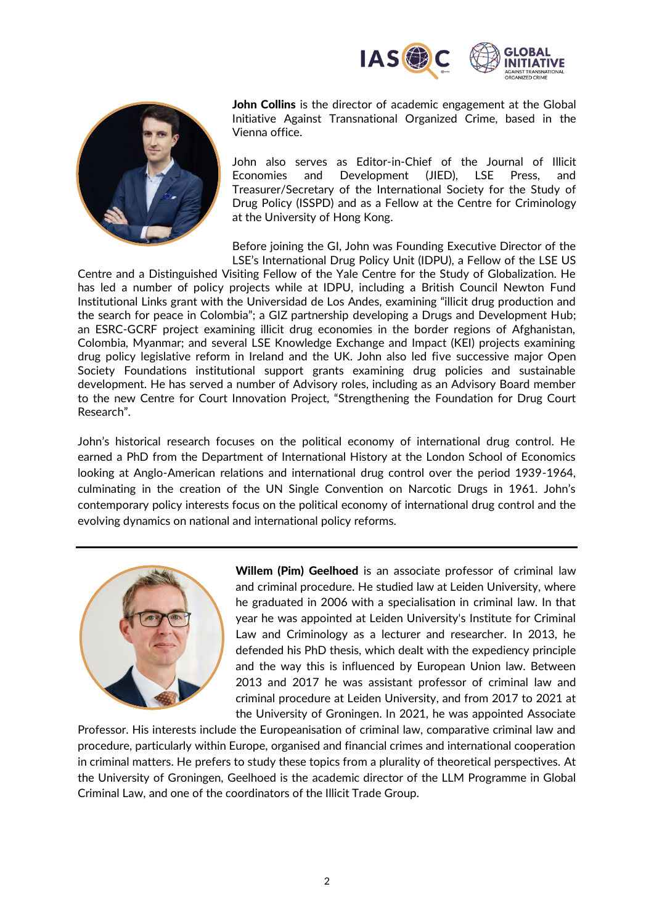



John Collins is the director of academic engagement at the Global Initiative Against Transnational Organized Crime, based in the Vienna office.

John also serves as Editor-in-Chief of the Journal of Illicit Economies and Development (JIED), LSE Press, and Treasurer/Secretary of the International Society for the Study of Drug Policy (ISSPD) and as a Fellow at the Centre for Criminology at the University of Hong Kong.

Before joining the GI, John was Founding Executive Director of the LSE's International Drug Policy Unit (IDPU), a Fellow of the LSE US

Centre and a Distinguished Visiting Fellow of the Yale Centre for the Study of Globalization. He has led a number of policy projects while at IDPU, including a British Council Newton Fund Institutional Links grant with the Universidad de Los Andes, examining "illicit drug production and the search for peace in Colombia"; a GIZ partnership developing a Drugs and Development Hub; an ESRC-GCRF project examining illicit drug economies in the border regions of Afghanistan, Colombia, Myanmar; and several LSE Knowledge Exchange and Impact (KEI) projects examining drug policy legislative reform in Ireland and the UK. John also led five successive major Open Society Foundations institutional support grants examining drug policies and sustainable development. He has served a number of Advisory roles, including as an Advisory Board member to the new Centre for Court Innovation Project, "Strengthening the Foundation for Drug Court Research".

John's historical research focuses on the political economy of international drug control. He earned a PhD from the Department of International History at the London School of Economics looking at Anglo-American relations and international drug control over the period 1939-1964, culminating in the creation of the UN Single Convention on Narcotic Drugs in 1961. John's contemporary policy interests focus on the political economy of international drug control and the evolving dynamics on national and international policy reforms.



Willem (Pim) Geelhoed is an associate professor of criminal law and criminal procedure. He studied law at Leiden University, where he graduated in 2006 with a specialisation in criminal law. In that year he was appointed at Leiden University's Institute for Criminal Law and Criminology as a lecturer and researcher. In 2013, he defended his PhD thesis, which dealt with the expediency principle and the way this is influenced by European Union law. Between 2013 and 2017 he was assistant professor of criminal law and criminal procedure at Leiden University, and from 2017 to 2021 at the University of Groningen. In 2021, he was appointed Associate

Professor. His interests include the Europeanisation of criminal law, comparative criminal law and procedure, particularly within Europe, organised and financial crimes and international cooperation in criminal matters. He prefers to study these topics from a plurality of theoretical perspectives. At the University of Groningen, Geelhoed is the academic director of the LLM Programme in Global Criminal Law, and one of the coordinators of the Illicit Trade Group.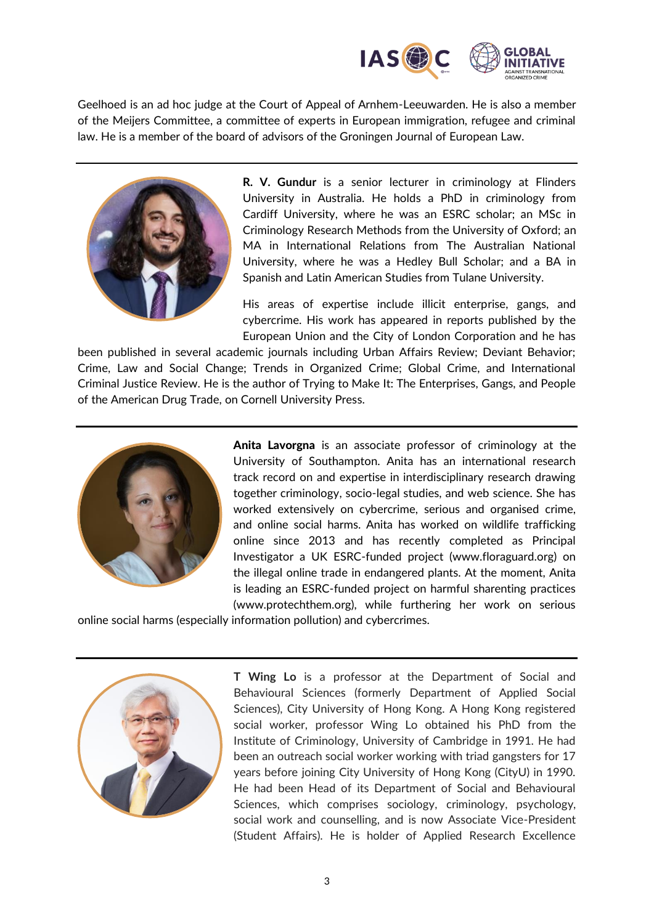

Geelhoed is an ad hoc judge at the Court of Appeal of Arnhem-Leeuwarden. He is also a member of the Meijers Committee, a committee of experts in European immigration, refugee and criminal law. He is a member of the board of advisors of the Groningen Journal of European Law.



**R. V. Gundur** is a senior lecturer in criminology at Flinders University in Australia. He holds a PhD in criminology from Cardiff University, where he was an ESRC scholar; an MSc in Criminology Research Methods from the University of Oxford; an MA in International Relations from The Australian National University, where he was a Hedley Bull Scholar; and a BA in Spanish and Latin American Studies from Tulane University.

His areas of expertise include illicit enterprise, gangs, and cybercrime. His work has appeared in reports published by the European Union and the City of London Corporation and he has

been published in several academic journals including Urban Affairs Review; Deviant Behavior; Crime, Law and Social Change; Trends in Organized Crime; Global Crime, and International Criminal Justice Review. He is the author of Trying to Make It: The Enterprises, Gangs, and People of the American Drug Trade, on Cornell University Press.



Anita Lavorgna is an associate professor of criminology at the University of Southampton. Anita has an international research track record on and expertise in interdisciplinary research drawing together criminology, socio-legal studies, and web science. She has worked extensively on cybercrime, serious and organised crime, and online social harms. Anita has worked on wildlife trafficking online since 2013 and has recently completed as Principal Investigator a UK ESRC-funded project (www.floraguard.org) on the illegal online trade in endangered plants. At the moment, Anita is leading an ESRC-funded project on harmful sharenting practices (www.protechthem.org), while furthering her work on serious

online social harms (especially information pollution) and cybercrimes.



**T Wing Lo** is a professor at the Department of Social and Behavioural Sciences (formerly Department of Applied Social Sciences), City University of Hong Kong. A Hong Kong registered social worker, professor Wing Lo obtained his PhD from the Institute of Criminology, University of Cambridge in 1991. He had been an outreach social worker working with triad gangsters for 17 years before joining City University of Hong Kong (CityU) in 1990. He had been Head of its Department of Social and Behavioural Sciences, which comprises sociology, criminology, psychology, social work and counselling, and is now Associate Vice-President (Student Affairs). He is holder of Applied Research Excellence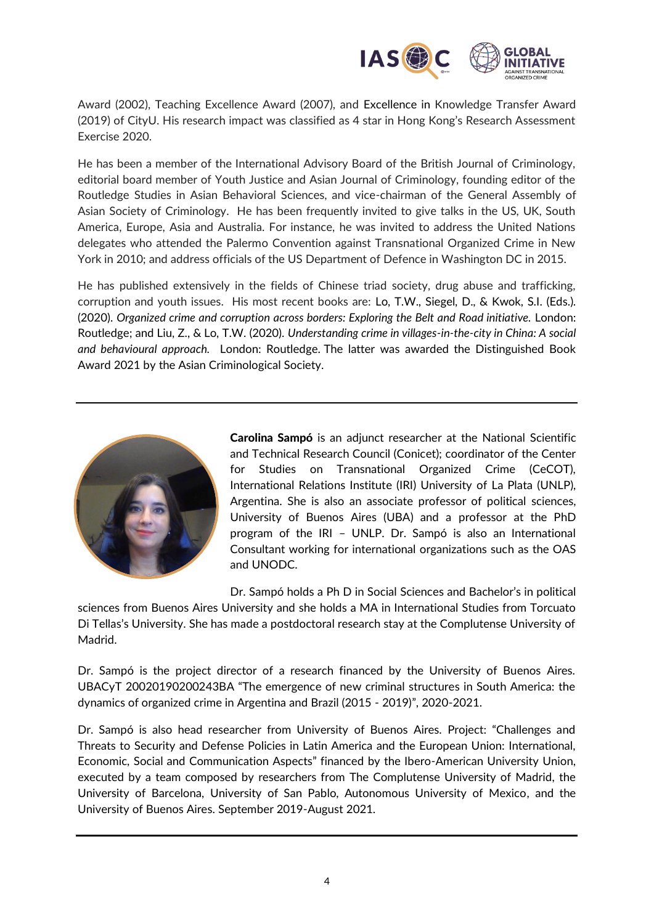

Award (2002), Teaching Excellence Award (2007), and Excellence in Knowledge Transfer Award (2019) of CityU. His research impact was classified as 4 star in Hong Kong's Research Assessment Exercise 2020.

He has been a member of the International Advisory Board of the British Journal of Criminology, editorial board member of Youth Justice and Asian Journal of Criminology, founding editor of the Routledge Studies in Asian Behavioral Sciences, and vice-chairman of the General Assembly of Asian Society of Criminology. He has been frequently invited to give talks in the US, UK, South America, Europe, Asia and Australia. For instance, he was invited to address the United Nations delegates who attended the Palermo Convention against Transnational Organized Crime in New York in 2010; and address officials of the US Department of Defence in Washington DC in 2015.

He has published extensively in the fields of Chinese triad society, drug abuse and trafficking, corruption and youth issues. His most recent books are: Lo, T.W., Siegel, D., & Kwok, S.I. (Eds.). (2020). *Organized crime and corruption across borders: Exploring the Belt and Road initiative.* London: Routledge; and Liu, Z., & Lo, T.W. (2020). *Understanding crime in villages-in-the-city in China: A social and behavioural approach.* London: Routledge. The latter was awarded the Distinguished Book Award 2021 by the Asian Criminological Society.



Carolina Sampó is an adjunct researcher at the National Scientific and Technical Research Council (Conicet); coordinator of the Center for Studies on Transnational Organized Crime (CeCOT), International Relations Institute (IRI) University of La Plata (UNLP), Argentina. She is also an associate professor of political sciences, University of Buenos Aires (UBA) and a professor at the PhD program of the IRI – UNLP. Dr. Sampó is also an International Consultant working for international organizations such as the OAS and UNODC.

Dr. Sampó holds a Ph D in Social Sciences and Bachelor's in political

sciences from Buenos Aires University and she holds a MA in International Studies from Torcuato Di Tellas's University. She has made a postdoctoral research stay at the Complutense University of Madrid.

Dr. Sampó is the project director of a research financed by the University of Buenos Aires. UBACyT 20020190200243BA "The emergence of new criminal structures in South America: the dynamics of organized crime in Argentina and Brazil (2015 - 2019)", 2020-2021.

Dr. Sampó is also head researcher from University of Buenos Aires. Project: "Challenges and Threats to Security and Defense Policies in Latin America and the European Union: International, Economic, Social and Communication Aspects" financed by the Ibero-American University Union, executed by a team composed by researchers from The Complutense University of Madrid, the University of Barcelona, University of San Pablo, Autonomous University of Mexico, and the University of Buenos Aires. September 2019-August 2021.